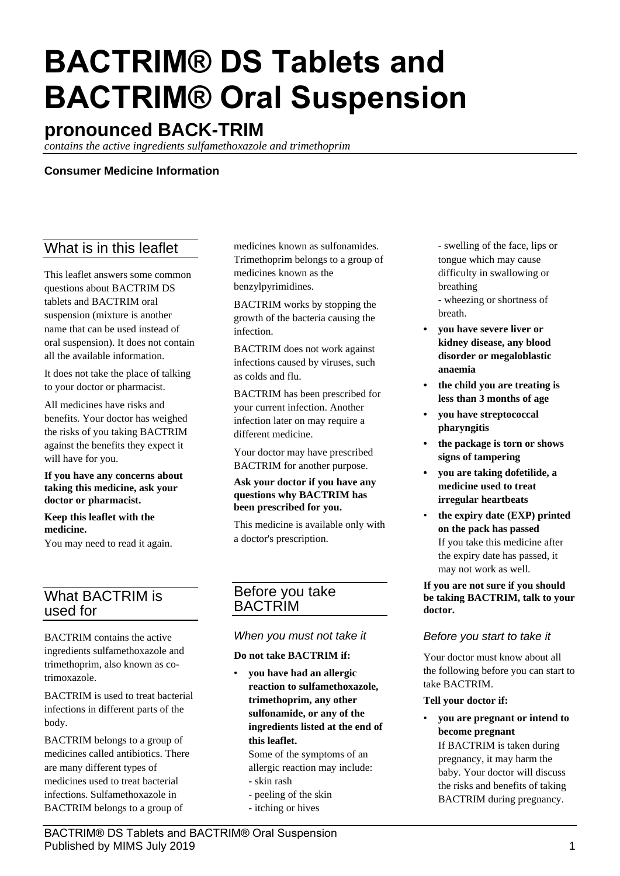# **BACTRIM® DS Tablets and BACTRIM® Oral Suspension**

# **pronounced BACK-TRIM**

*contains the active ingredients sulfamethoxazole and trimethoprim*

## **Consumer Medicine Information**

# What is in this leaflet

This leaflet answers some common questions about BACTRIM DS tablets and BACTRIM oral suspension (mixture is another name that can be used instead of oral suspension). It does not contain all the available information.

It does not take the place of talking to your doctor or pharmacist.

All medicines have risks and benefits. Your doctor has weighed the risks of you taking BACTRIM against the benefits they expect it will have for you.

**If you have any concerns about taking this medicine, ask your doctor or pharmacist.**

#### **Keep this leaflet with the medicine.**

You may need to read it again.

# What BACTRIM is used for

BACTRIM contains the active ingredients sulfamethoxazole and trimethoprim, also known as cotrimoxazole.

BACTRIM is used to treat bacterial infections in different parts of the body.

BACTRIM belongs to a group of medicines called antibiotics. There are many different types of medicines used to treat bacterial infections. Sulfamethoxazole in BACTRIM belongs to a group of

medicines known as sulfonamides. Trimethoprim belongs to a group of medicines known as the benzylpyrimidines.

BACTRIM works by stopping the growth of the bacteria causing the infection.

BACTRIM does not work against infections caused by viruses, such as colds and flu.

BACTRIM has been prescribed for your current infection. Another infection later on may require a different medicine.

Your doctor may have prescribed BACTRIM for another purpose.

#### **Ask your doctor if you have any questions why BACTRIM has been prescribed for you.**

This medicine is available only with a doctor's prescription.

# Before you take BACTRIM

## *When you must not take it*

#### **Do not take BACTRIM if:**

• **you have had an allergic reaction to sulfamethoxazole, trimethoprim, any other sulfonamide, or any of the ingredients listed at the end of this leaflet.**

Some of the symptoms of an allergic reaction may include:

- skin rash
- peeling of the skin
- itching or hives

- swelling of the face, lips or tongue which may cause difficulty in swallowing or breathing - wheezing or shortness of breath.

- **• you have severe liver or kidney disease, any blood disorder or megaloblastic anaemia**
- **• the child you are treating is less than 3 months of age**
- **• you have streptococcal pharyngitis**
- **• the package is torn or shows signs of tampering**
- **• you are taking dofetilide, a medicine used to treat irregular heartbeats**
- **the expiry date (EXP) printed on the pack has passed** If you take this medicine after the expiry date has passed, it may not work as well.

#### **If you are not sure if you should be taking BACTRIM, talk to your doctor.**

## *Before you start to take it*

Your doctor must know about all the following before you can start to take BACTRIM.

#### **Tell your doctor if:**

• **you are pregnant or intend to become pregnant** If BACTRIM is taken during

pregnancy, it may harm the baby. Your doctor will discuss the risks and benefits of taking BACTRIM during pregnancy.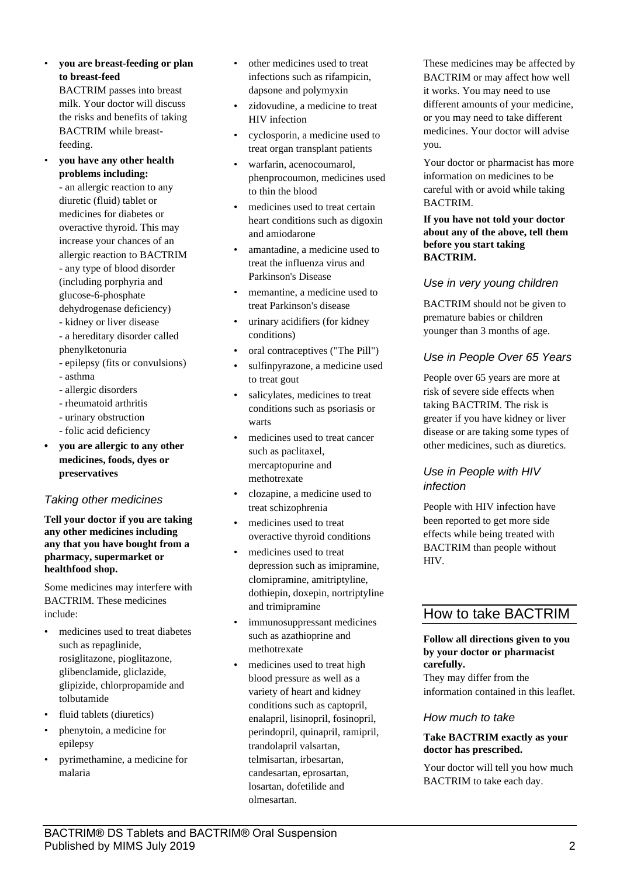• **you are breast-feeding or plan to breast-feed** BACTRIM passes into breast

milk. Your doctor will discuss the risks and benefits of taking BACTRIM while breastfeeding.

• **you have any other health problems including:**

- an allergic reaction to any diuretic (fluid) tablet or medicines for diabetes or overactive thyroid. This may increase your chances of an allergic reaction to BACTRIM - any type of blood disorder (including porphyria and glucose-6-phosphate dehydrogenase deficiency)

- kidney or liver disease - a hereditary disorder called
- phenylketonuria - epilepsy (fits or convulsions)
- asthma
- allergic disorders
- rheumatoid arthritis
- urinary obstruction
- folic acid deficiency
- **• you are allergic to any other medicines, foods, dyes or preservatives**

# *Taking other medicines*

**Tell your doctor if you are taking any other medicines including any that you have bought from a pharmacy, supermarket or healthfood shop.**

Some medicines may interfere with BACTRIM. These medicines include:

- medicines used to treat diabetes such as repaglinide, rosiglitazone, pioglitazone, glibenclamide, gliclazide, glipizide, chlorpropamide and tolbutamide
- fluid tablets (diuretics)
- phenytoin, a medicine for epilepsy
- pyrimethamine, a medicine for malaria
- other medicines used to treat infections such as rifampicin, dapsone and polymyxin
- zidovudine, a medicine to treat HIV infection
- cyclosporin, a medicine used to treat organ transplant patients
- warfarin, acenocoumarol, phenprocoumon, medicines used to thin the blood
- medicines used to treat certain heart conditions such as digoxin and amiodarone
- amantadine, a medicine used to treat the influenza virus and Parkinson's Disease
- memantine, a medicine used to treat Parkinson's disease
- urinary acidifiers (for kidney conditions)
- oral contraceptives ("The Pill")
- sulfinpyrazone, a medicine used to treat gout
- salicylates, medicines to treat conditions such as psoriasis or warts
- medicines used to treat cancer such as paclitaxel, mercaptopurine and methotrexate
- clozapine, a medicine used to treat schizophrenia
- medicines used to treat overactive thyroid conditions
- medicines used to treat depression such as imipramine, clomipramine, amitriptyline, dothiepin, doxepin, nortriptyline and trimipramine
- immunosuppressant medicines such as azathioprine and methotrexate
- medicines used to treat high blood pressure as well as a variety of heart and kidney conditions such as captopril, enalapril, lisinopril, fosinopril, perindopril, quinapril, ramipril, trandolapril valsartan, telmisartan, irbesartan, candesartan, eprosartan, losartan, dofetilide and olmesartan.

These medicines may be affected by BACTRIM or may affect how well it works. You may need to use different amounts of your medicine, or you may need to take different medicines. Your doctor will advise you.

Your doctor or pharmacist has more information on medicines to be careful with or avoid while taking BACTRIM.

**If you have not told your doctor about any of the above, tell them before you start taking BACTRIM.**

# *Use in very young children*

BACTRIM should not be given to premature babies or children younger than 3 months of age.

# *Use in People Over 65 Years*

People over 65 years are more at risk of severe side effects when taking BACTRIM. The risk is greater if you have kidney or liver disease or are taking some types of other medicines, such as diuretics.

# *Use in People with HIV infection*

People with HIV infection have been reported to get more side effects while being treated with BACTRIM than people without HIV.

# How to take BACTRIM

#### **Follow all directions given to you by your doctor or pharmacist carefully.**

They may differ from the information contained in this leaflet.

# *How much to take*

## **Take BACTRIM exactly as your doctor has prescribed.**

Your doctor will tell you how much BACTRIM to take each day.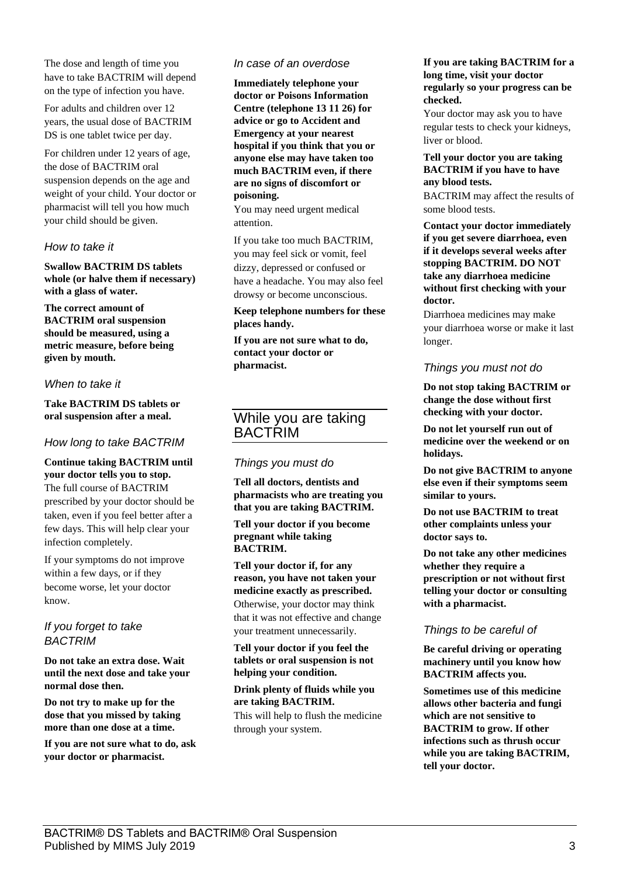The dose and length of time you have to take BACTRIM will depend on the type of infection you have.

For adults and children over 12 years, the usual dose of BACTRIM DS is one tablet twice per day.

For children under 12 years of age, the dose of BACTRIM oral suspension depends on the age and weight of your child. Your doctor or pharmacist will tell you how much your child should be given.

#### *How to take it*

**Swallow BACTRIM DS tablets whole (or halve them if necessary) with a glass of water.**

**The correct amount of BACTRIM oral suspension should be measured, using a metric measure, before being given by mouth.**

#### *When to take it*

**Take BACTRIM DS tablets or oral suspension after a meal.**

## *How long to take BACTRIM*

#### **Continue taking BACTRIM until your doctor tells you to stop.** The full course of BACTRIM prescribed by your doctor should be

taken, even if you feel better after a few days. This will help clear your infection completely.

If your symptoms do not improve within a few days, or if they become worse, let your doctor know.

*If you forget to take BACTRIM*

**Do not take an extra dose. Wait until the next dose and take your normal dose then.**

**Do not try to make up for the dose that you missed by taking more than one dose at a time.**

**If you are not sure what to do, ask your doctor or pharmacist.**

#### *In case of an overdose*

**Immediately telephone your doctor or Poisons Information Centre (telephone 13 11 26) for advice or go to Accident and Emergency at your nearest hospital if you think that you or anyone else may have taken too much BACTRIM even, if there are no signs of discomfort or poisoning.**

You may need urgent medical attention.

If you take too much BACTRIM, you may feel sick or vomit, feel dizzy, depressed or confused or have a headache. You may also feel drowsy or become unconscious.

#### **Keep telephone numbers for these places handy.**

**If you are not sure what to do, contact your doctor or pharmacist.**

## While you are taking **BACTRIM**

#### *Things you must do*

**Tell all doctors, dentists and pharmacists who are treating you that you are taking BACTRIM.**

**Tell your doctor if you become pregnant while taking BACTRIM.**

**Tell your doctor if, for any reason, you have not taken your medicine exactly as prescribed.** Otherwise, your doctor may think that it was not effective and change your treatment unnecessarily.

**Tell your doctor if you feel the tablets or oral suspension is not helping your condition.**

#### **Drink plenty of fluids while you are taking BACTRIM.**

This will help to flush the medicine through your system.

#### **If you are taking BACTRIM for a long time, visit your doctor regularly so your progress can be checked.**

Your doctor may ask you to have regular tests to check your kidneys, liver or blood.

#### **Tell your doctor you are taking BACTRIM if you have to have any blood tests.**

BACTRIM may affect the results of some blood tests.

**Contact your doctor immediately if you get severe diarrhoea, even if it develops several weeks after stopping BACTRIM. DO NOT take any diarrhoea medicine without first checking with your doctor.**

Diarrhoea medicines may make your diarrhoea worse or make it last longer.

## *Things you must not do*

**Do not stop taking BACTRIM or change the dose without first checking with your doctor.**

**Do not let yourself run out of medicine over the weekend or on holidays.**

**Do not give BACTRIM to anyone else even if their symptoms seem similar to yours.**

**Do not use BACTRIM to treat other complaints unless your doctor says to.**

**Do not take any other medicines whether they require a prescription or not without first telling your doctor or consulting with a pharmacist.**

## *Things to be careful of*

**Be careful driving or operating machinery until you know how BACTRIM affects you.**

**Sometimes use of this medicine allows other bacteria and fungi which are not sensitive to BACTRIM to grow. If other infections such as thrush occur while you are taking BACTRIM, tell your doctor.**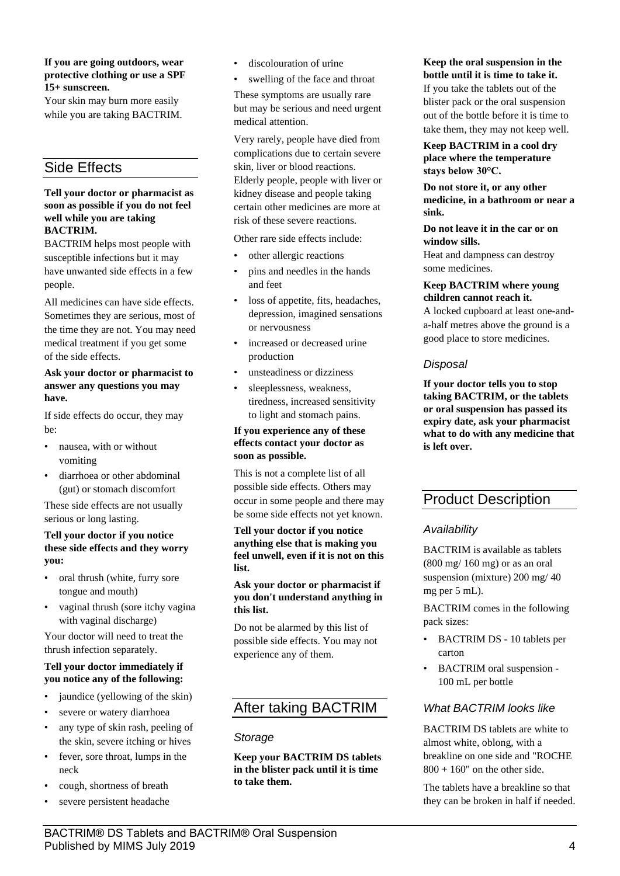#### **If you are going outdoors, wear protective clothing or use a SPF 15+ sunscreen.**

Your skin may burn more easily while you are taking BACTRIM.

# Side Effects

#### **Tell your doctor or pharmacist as soon as possible if you do not feel well while you are taking BACTRIM.**

BACTRIM helps most people with susceptible infections but it may have unwanted side effects in a few people.

All medicines can have side effects. Sometimes they are serious, most of the time they are not. You may need medical treatment if you get some of the side effects.

#### **Ask your doctor or pharmacist to answer any questions you may have.**

If side effects do occur, they may be:

- nausea, with or without vomiting
- diarrhoea or other abdominal (gut) or stomach discomfort

These side effects are not usually serious or long lasting.

#### **Tell your doctor if you notice these side effects and they worry you:**

- oral thrush (white, furry sore tongue and mouth)
- vaginal thrush (sore itchy vagina with vaginal discharge)

Your doctor will need to treat the thrush infection separately.

#### **Tell your doctor immediately if you notice any of the following:**

- jaundice (yellowing of the skin)
- severe or watery diarrhoea
- any type of skin rash, peeling of the skin, severe itching or hives
- fever, sore throat, lumps in the neck
- cough, shortness of breath
- severe persistent headache

• discolouration of urine

swelling of the face and throat These symptoms are usually rare but may be serious and need urgent medical attention.

Very rarely, people have died from complications due to certain severe skin, liver or blood reactions. Elderly people, people with liver or kidney disease and people taking certain other medicines are more at risk of these severe reactions.

Other rare side effects include:

- other allergic reactions
- pins and needles in the hands and feet
- loss of appetite, fits, headaches, depression, imagined sensations or nervousness
- increased or decreased urine production
- unsteadiness or dizziness
- sleeplessness, weakness, tiredness, increased sensitivity to light and stomach pains.

#### **If you experience any of these effects contact your doctor as soon as possible.**

This is not a complete list of all possible side effects. Others may occur in some people and there may be some side effects not yet known.

#### **Tell your doctor if you notice anything else that is making you feel unwell, even if it is not on this list.**

#### **Ask your doctor or pharmacist if you don't understand anything in this list.**

Do not be alarmed by this list of possible side effects. You may not experience any of them.

# After taking BACTRIM

# *Storage*

**Keep your BACTRIM DS tablets in the blister pack until it is time to take them.**

**Keep the oral suspension in the bottle until it is time to take it.** If you take the tablets out of the blister pack or the oral suspension out of the bottle before it is time to take them, they may not keep well.

#### **Keep BACTRIM in a cool dry place where the temperature stays below 30°C.**

**Do not store it, or any other medicine, in a bathroom or near a sink.**

#### **Do not leave it in the car or on window sills.**

Heat and dampness can destroy some medicines.

#### **Keep BACTRIM where young children cannot reach it.**

A locked cupboard at least one-anda-half metres above the ground is a good place to store medicines.

## *Disposal*

**If your doctor tells you to stop taking BACTRIM, or the tablets or oral suspension has passed its expiry date, ask your pharmacist what to do with any medicine that is left over.**

# Product Description

## *Availability*

BACTRIM is available as tablets (800 mg/ 160 mg) or as an oral suspension (mixture) 200 mg/ 40 mg per 5 mL).

BACTRIM comes in the following pack sizes:

- BACTRIM DS 10 tablets per carton
- BACTRIM oral suspension 100 mL per bottle

# *What BACTRIM looks like*

BACTRIM DS tablets are white to almost white, oblong, with a breakline on one side and "ROCHE  $800 + 160$ " on the other side.

The tablets have a breakline so that they can be broken in half if needed.